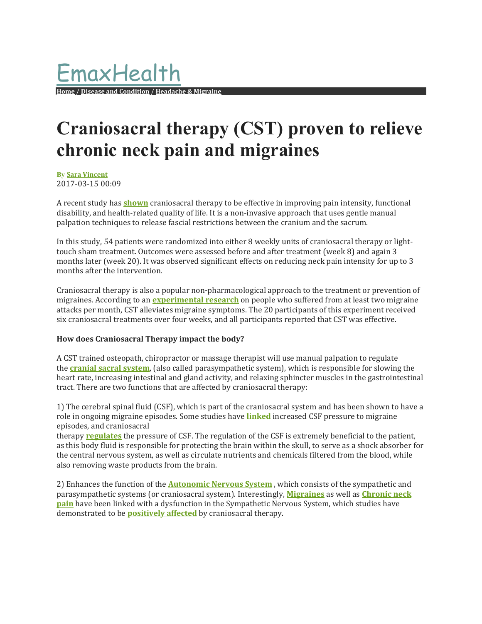## **Craniosacral therapy (CST) proven to relieve chronic neck pain and migraines**

**By Sara Vincent** 2017‐03‐15 00:09 

A recent study has **shown** craniosacral therapy to be effective in improving pain intensity, functional disability, and health-related quality of life. It is a non-invasive approach that uses gentle manual palpation techniques to release fascial restrictions between the cranium and the sacrum.

In this study, 54 patients were randomized into either 8 weekly units of craniosacral therapy or lighttouch sham treatment. Outcomes were assessed before and after treatment (week 8) and again 3 months later (week 20). It was observed significant effects on reducing neck pain intensity for up to 3 months after the intervention.

Craniosacral therapy is also a popular non-pharmacological approach to the treatment or prevention of migraines. According to an **experimental research** on people who suffered from at least two migraine attacks per month, CST alleviates migraine symptoms. The 20 participants of this experiment received six craniosacral treatments over four weeks, and all participants reported that CST was effective.

## **How does Craniosacral Therapy impact the body?**

A CST trained osteopath, chiropractor or massage therapist will use manual palpation to regulate the **cranial sacral system**, (also called parasympathetic system), which is responsible for slowing the heart rate, increasing intestinal and gland activity, and relaxing sphincter muscles in the gastrointestinal tract. There are two functions that are affected by craniosacral therapy:

1) The cerebral spinal fluid (CSF), which is part of the craniosacral system and has been shown to have a role in ongoing migraine episodes. Some studies have **linked** increased CSF pressure to migraine episodes, and craniosacral 

therapy **regulates** the pressure of CSF. The regulation of the CSF is extremely beneficial to the patient, as this body fluid is responsible for protecting the brain within the skull, to serve as a shock absorber for the central nervous system, as well as circulate nutrients and chemicals filtered from the blood, while also removing waste products from the brain.

2) Enhances the function of the **Autonomic Nervous System**, which consists of the sympathetic and parasympathetic systems (or craniosacral system). Interestingly, *Migraines* as well as *Chronic neck* **pain** have been linked with a dysfunction in the Sympathetic Nervous System, which studies have demonstrated to be **positively affected** by craniosacral therapy.